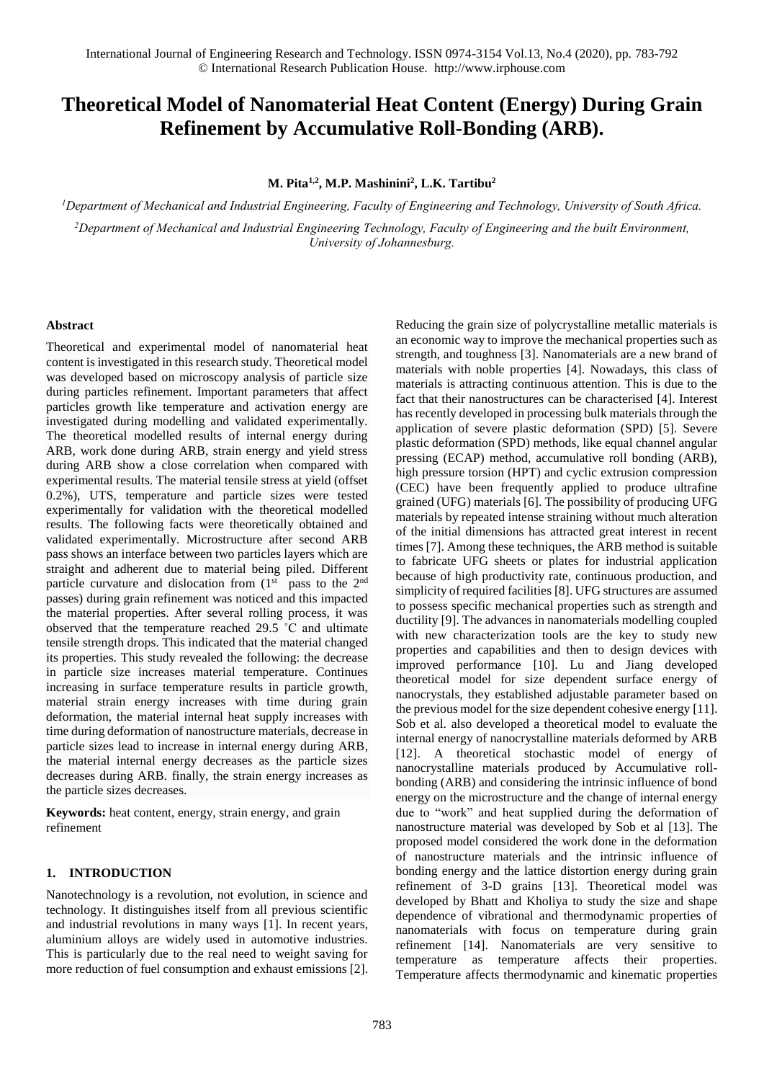# **Theoretical Model of Nanomaterial Heat Content (Energy) During Grain Refinement by Accumulative Roll-Bonding (ARB).**

**M. Pita1,2, M.P. Mashinini<sup>2</sup> , L.K. Tartibu<sup>2</sup>**

*<sup>1</sup>Department of Mechanical and Industrial Engineering, Faculty of Engineering and Technology, University of South Africa. <sup>2</sup>Department of Mechanical and Industrial Engineering Technology, Faculty of Engineering and the built Environment, University of Johannesburg.*

### **Abstract**

Theoretical and experimental model of nanomaterial heat content is investigated in this research study. Theoretical model was developed based on microscopy analysis of particle size during particles refinement. Important parameters that affect particles growth like temperature and activation energy are investigated during modelling and validated experimentally. The theoretical modelled results of internal energy during ARB, work done during ARB, strain energy and yield stress during ARB show a close correlation when compared with experimental results. The material tensile stress at yield (offset 0.2%), UTS, temperature and particle sizes were tested experimentally for validation with the theoretical modelled results. The following facts were theoretically obtained and validated experimentally. Microstructure after second ARB pass shows an interface between two particles layers which are straight and adherent due to material being piled. Different particle curvature and dislocation from  $(1<sup>st</sup>$  pass to the  $2<sup>nd</sup>$ passes) during grain refinement was noticed and this impacted the material properties. After several rolling process, it was observed that the temperature reached 29.5 ˚C and ultimate tensile strength drops. This indicated that the material changed its properties. This study revealed the following: the decrease in particle size increases material temperature. Continues increasing in surface temperature results in particle growth, material strain energy increases with time during grain deformation, the material internal heat supply increases with time during deformation of nanostructure materials, decrease in particle sizes lead to increase in internal energy during ARB, the material internal energy decreases as the particle sizes decreases during ARB. finally, the strain energy increases as the particle sizes decreases.

**Keywords:** heat content, energy, strain energy, and grain refinement

## **1. INTRODUCTION**

Nanotechnology is a revolution, not evolution, in science and technology. It distinguishes itself from all previous scientific and industrial revolutions in many ways [1]. In recent years, aluminium alloys are widely used in automotive industries. This is particularly due to the real need to weight saving for more reduction of fuel consumption and exhaust emissions [2]. Reducing the grain size of polycrystalline metallic materials is an economic way to improve the mechanical properties such as strength, and toughness [3]. Nanomaterials are a new brand of materials with noble properties [4]. Nowadays, this class of materials is attracting continuous attention. This is due to the fact that their nanostructures can be characterised [4]. Interest has recently developed in processing bulk materials through the application of severe plastic deformation (SPD) [5]. Severe plastic deformation (SPD) methods, like equal channel angular pressing (ECAP) method, accumulative roll bonding (ARB), high pressure torsion (HPT) and cyclic extrusion compression (CEC) have been frequently applied to produce ultrafine grained (UFG) materials [6]. The possibility of producing UFG materials by repeated intense straining without much alteration of the initial dimensions has attracted great interest in recent times [7]. Among these techniques, the ARB method is suitable to fabricate UFG sheets or plates for industrial application because of high productivity rate, continuous production, and simplicity of required facilities [8]. UFG structures are assumed to possess specific mechanical properties such as strength and ductility [9]. The advances in nanomaterials modelling coupled with new characterization tools are the key to study new properties and capabilities and then to design devices with improved performance [10]. Lu and Jiang developed theoretical model for size dependent surface energy of nanocrystals, they established adjustable parameter based on the previous model for the size dependent cohesive energy [11]. Sob et al. also developed a theoretical model to evaluate the internal energy of nanocrystalline materials deformed by ARB [12]. A theoretical stochastic model of energy of nanocrystalline materials produced by Accumulative rollbonding (ARB) and considering the intrinsic influence of bond energy on the microstructure and the change of internal energy due to "work" and heat supplied during the deformation of nanostructure material was developed by Sob et al [13]. The proposed model considered the work done in the deformation of nanostructure materials and the intrinsic influence of bonding energy and the lattice distortion energy during grain refinement of 3-D grains [13]. Theoretical model was developed by Bhatt and Kholiya to study the size and shape dependence of vibrational and thermodynamic properties of nanomaterials with focus on temperature during grain refinement [14]. Nanomaterials are very sensitive to temperature as temperature affects their properties. Temperature affects thermodynamic and kinematic properties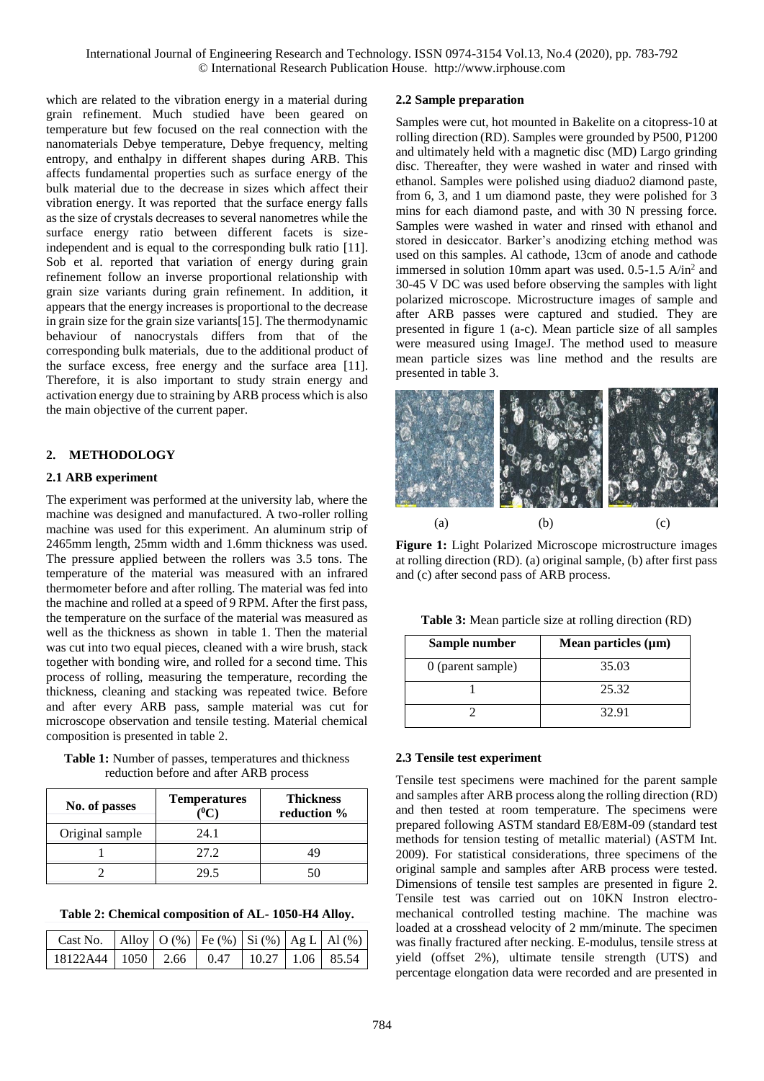which are related to the vibration energy in a material during grain refinement. Much studied have been geared on temperature but few focused on the real connection with the nanomaterials Debye temperature, Debye frequency, melting entropy, and enthalpy in different shapes during ARB. This affects fundamental properties such as surface energy of the bulk material due to the decrease in sizes which affect their vibration energy. It was reported that the surface energy falls as the size of crystals decreases to several nanometres while the surface energy ratio between different facets is sizeindependent and is equal to the corresponding bulk ratio [11]. Sob et al. reported that variation of energy during grain refinement follow an inverse proportional relationship with grain size variants during grain refinement. In addition, it appears that the energy increases is proportional to the decrease in grain size for the grain size variants[15]. The thermodynamic behaviour of nanocrystals differs from that of the corresponding bulk materials, due to the additional product of the surface excess, free energy and the surface area [11]. Therefore, it is also important to study strain energy and activation energy due to straining by ARB process which is also the main objective of the current paper.

## **2. METHODOLOGY**

### **2.1 ARB experiment**

The experiment was performed at the university lab, where the machine was designed and manufactured. A two-roller rolling machine was used for this experiment. An aluminum strip of 2465mm length, 25mm width and 1.6mm thickness was used. The pressure applied between the rollers was 3.5 tons. The temperature of the material was measured with an infrared thermometer before and after rolling. The material was fed into the machine and rolled at a speed of 9 RPM. After the first pass, the temperature on the surface of the material was measured as well as the thickness as shown in table 1. Then the material was cut into two equal pieces, cleaned with a wire brush, stack together with bonding wire, and rolled for a second time. This process of rolling, measuring the temperature, recording the thickness, cleaning and stacking was repeated twice. Before and after every ARB pass, sample material was cut for microscope observation and tensile testing. Material chemical composition is presented in table 2.

**Table 1:** Number of passes, temperatures and thickness reduction before and after ARB process

| No. of passes   | <b>Temperatures</b><br>″€ | <b>Thickness</b><br>reduction % |  |
|-----------------|---------------------------|---------------------------------|--|
| Original sample | 24.1                      |                                 |  |
|                 | 27.2                      | 19                              |  |
|                 | 29.5                      | 50                              |  |

**Table 2: Chemical composition of AL- 1050-H4 Alloy.**

| Cast No.   Alloy   O (%)   Fe (%)   Si (%)   Ag L   Al (%) |  |  |  |
|------------------------------------------------------------|--|--|--|
| 18122A44   1050   2.66   0.47   10.27   1.06   85.54       |  |  |  |

## **2.2 Sample preparation**

Samples were cut, hot mounted in Bakelite on a citopress-10 at rolling direction (RD). Samples were grounded by P500, P1200 and ultimately held with a magnetic disc (MD) Largo grinding disc. Thereafter, they were washed in water and rinsed with ethanol. Samples were polished using diaduo2 diamond paste, from 6, 3, and 1 um diamond paste, they were polished for 3 mins for each diamond paste, and with 30 N pressing force. Samples were washed in water and rinsed with ethanol and stored in desiccator. Barker's anodizing etching method was used on this samples. Al cathode, 13cm of anode and cathode immersed in solution 10mm apart was used.  $0.5$ -1.5 A/in<sup>2</sup> and 30-45 V DC was used before observing the samples with light polarized microscope. Microstructure images of sample and after ARB passes were captured and studied. They are presented in figure 1 (a-c). Mean particle size of all samples were measured using ImageJ. The method used to measure mean particle sizes was line method and the results are presented in table 3.



**Figure 1:** Light Polarized Microscope microstructure images at rolling direction (RD). (a) original sample, (b) after first pass and (c) after second pass of ARB process.

**Table 3:** Mean particle size at rolling direction (RD)

| Sample number     | Mean particles $(\mu m)$ |
|-------------------|--------------------------|
| 0 (parent sample) | 35.03                    |
|                   | 25.32                    |
|                   | 32.91                    |

### **2.3 Tensile test experiment**

Tensile test specimens were machined for the parent sample and samples after ARB process along the rolling direction (RD) and then tested at room temperature. The specimens were prepared following ASTM standard E8/E8M-09 (standard test methods for tension testing of metallic material) (ASTM Int. 2009). For statistical considerations, three specimens of the original sample and samples after ARB process were tested. Dimensions of tensile test samples are presented in figure 2. Tensile test was carried out on 10KN Instron electromechanical controlled testing machine. The machine was loaded at a crosshead velocity of 2 mm/minute. The specimen was finally fractured after necking. E-modulus, tensile stress at yield (offset 2%), ultimate tensile strength (UTS) and percentage elongation data were recorded and are presented in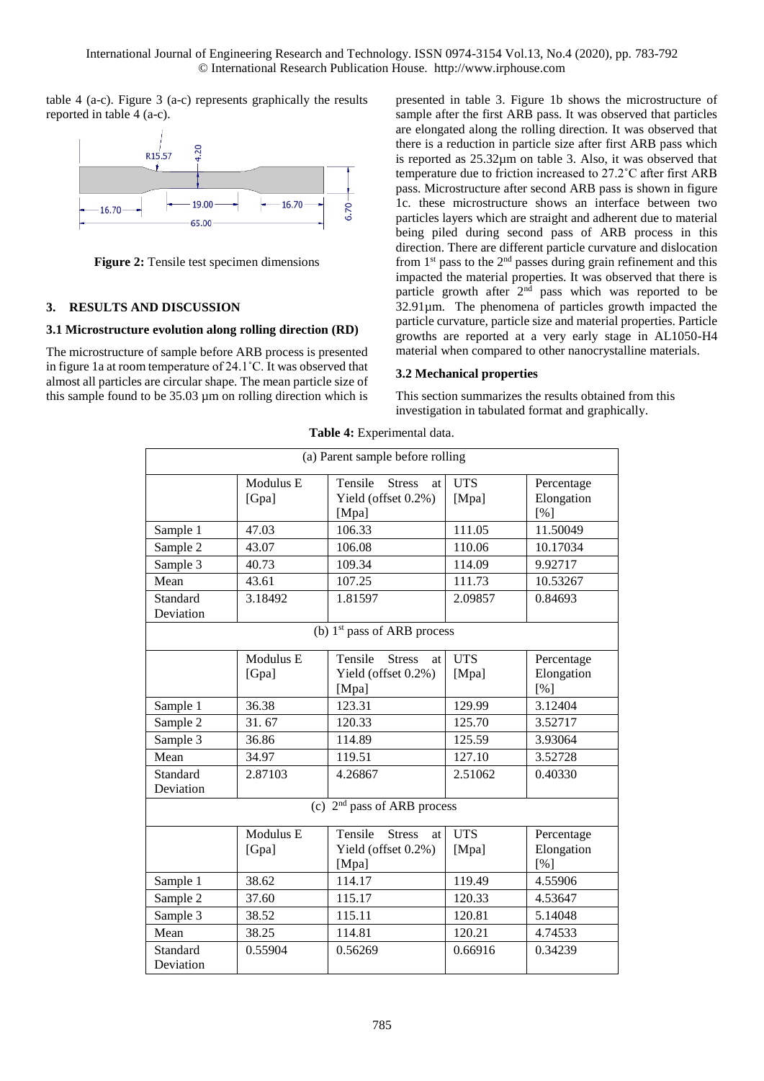table 4 (a-c). Figure 3 (a-c) represents graphically the results reported in table 4 (a-c).



**Figure 2:** Tensile test specimen dimensions

## **3. RESULTS AND DISCUSSION**

## **3.1 Microstructure evolution along rolling direction (RD)**

The microstructure of sample before ARB process is presented in figure 1a at room temperature of 24.1˚C. It was observed that almost all particles are circular shape. The mean particle size of this sample found to be 35.03 µm on rolling direction which is presented in table 3. Figure 1b shows the microstructure of sample after the first ARB pass. It was observed that particles are elongated along the rolling direction. It was observed that there is a reduction in particle size after first ARB pass which is reported as 25.32µm on table 3. Also, it was observed that temperature due to friction increased to 27.2˚C after first ARB pass. Microstructure after second ARB pass is shown in figure 1c. these microstructure shows an interface between two particles layers which are straight and adherent due to material being piled during second pass of ARB process in this direction. There are different particle curvature and dislocation from  $1<sup>st</sup>$  pass to the  $2<sup>nd</sup>$  passes during grain refinement and this impacted the material properties. It was observed that there is particle growth after 2<sup>nd</sup> pass which was reported to be 32.91µm. The phenomena of particles growth impacted the particle curvature, particle size and material properties. Particle growths are reported at a very early stage in AL1050-H4 material when compared to other nanocrystalline materials.

## **3.2 Mechanical properties**

This section summarizes the results obtained from this investigation in tabulated format and graphically.

|                                  | <b>Table 7.</b> Lapermental Gata. |                                                                |                     |                                 |  |  |  |
|----------------------------------|-----------------------------------|----------------------------------------------------------------|---------------------|---------------------------------|--|--|--|
| (a) Parent sample before rolling |                                   |                                                                |                     |                                 |  |  |  |
|                                  | Modulus E<br>[Gpa]                | Tensile<br><b>Stress</b><br>at<br>Yield (offset 0.2%)<br>[Mpa] | <b>UTS</b><br>[Mpa] | Percentage<br>Elongation<br>[%] |  |  |  |
| Sample 1                         | 47.03                             | 106.33                                                         | 111.05              | 11.50049                        |  |  |  |
| Sample 2                         | 43.07                             | 106.08                                                         | 110.06              | 10.17034                        |  |  |  |
| Sample 3                         | 40.73                             | 109.34                                                         | 114.09              | 9.92717                         |  |  |  |
| Mean                             | 43.61                             | 107.25                                                         | 111.73              | 10.53267                        |  |  |  |
| Standard<br>Deviation            | 3.18492                           | 1.81597                                                        | 2.09857             | 0.84693                         |  |  |  |
| (b) $1st$ pass of ARB process    |                                   |                                                                |                     |                                 |  |  |  |
|                                  | Modulus E<br>[Gpa]                | Tensile<br><b>Stress</b><br>at<br>Yield (offset 0.2%)<br>[Mpa] | <b>UTS</b><br>[Mpa] | Percentage<br>Elongation<br>[%] |  |  |  |
| Sample 1                         | 36.38                             | 123.31                                                         | 129.99              | 3.12404                         |  |  |  |
| Sample 2                         | 31.67                             | 120.33                                                         | 125.70              | 3.52717                         |  |  |  |
| Sample 3                         | 36.86                             | 114.89                                                         | 125.59              | 3.93064                         |  |  |  |
| Mean                             | 34.97                             | 119.51                                                         | 127.10              | 3.52728                         |  |  |  |
| Standard<br>Deviation            | 2.87103                           | 4.26867                                                        | 2.51062             | 0.40330                         |  |  |  |
| (c) $2nd$ pass of ARB process    |                                   |                                                                |                     |                                 |  |  |  |
|                                  | Modulus E<br>[Gpa]                | Tensile<br><b>Stress</b><br>at<br>Yield (offset 0.2%)<br>[Mpa] | <b>UTS</b><br>[Mpa] | Percentage<br>Elongation<br>[%] |  |  |  |
| Sample 1                         | 38.62                             | 114.17                                                         | 119.49              | 4.55906                         |  |  |  |
| Sample 2                         | 37.60                             | 115.17                                                         | 120.33              | 4.53647                         |  |  |  |
| Sample 3                         | 38.52                             | 115.11                                                         | 120.81              | 5.14048                         |  |  |  |
| Mean                             | 38.25                             | 114.81                                                         | 120.21              | 4.74533                         |  |  |  |
| Standard<br>Deviation            | 0.55904                           | 0.56269                                                        | 0.66916             | 0.34239                         |  |  |  |

**Table 4:** Experimental data.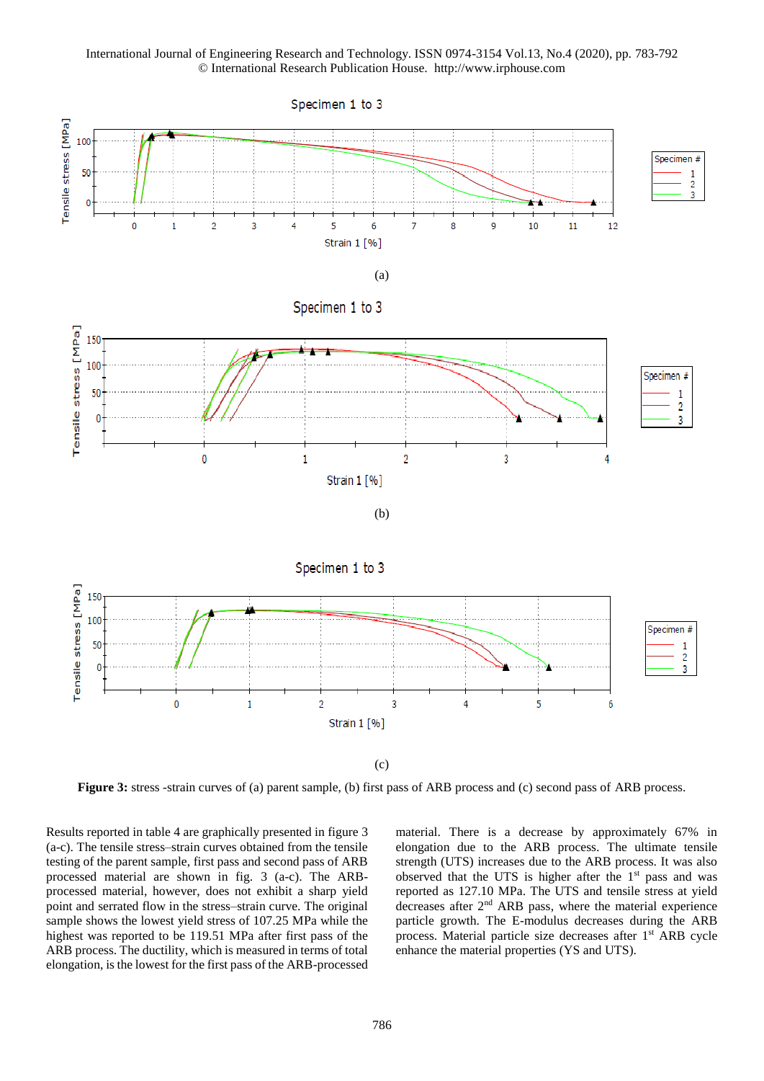

**Figure 3:** stress -strain curves of (a) parent sample, (b) first pass of ARB process and (c) second pass of ARB process.

Results reported in table 4 are graphically presented in figure 3 (a-c). The tensile stress–strain curves obtained from the tensile testing of the parent sample, first pass and second pass of ARB processed material are shown in fig. 3 (a-c). The ARBprocessed material, however, does not exhibit a sharp yield point and serrated flow in the stress–strain curve. The original sample shows the lowest yield stress of 107.25 MPa while the highest was reported to be 119.51 MPa after first pass of the ARB process. The ductility, which is measured in terms of total elongation, is the lowest for the first pass of the ARB-processed material. There is a decrease by approximately 67% in elongation due to the ARB process. The ultimate tensile strength (UTS) increases due to the ARB process. It was also observed that the UTS is higher after the  $1<sup>st</sup>$  pass and was reported as 127.10 MPa. The UTS and tensile stress at yield decreases after 2<sup>nd</sup> ARB pass, where the material experience particle growth. The E-modulus decreases during the ARB process. Material particle size decreases after 1<sup>st</sup> ARB cycle enhance the material properties (YS and UTS).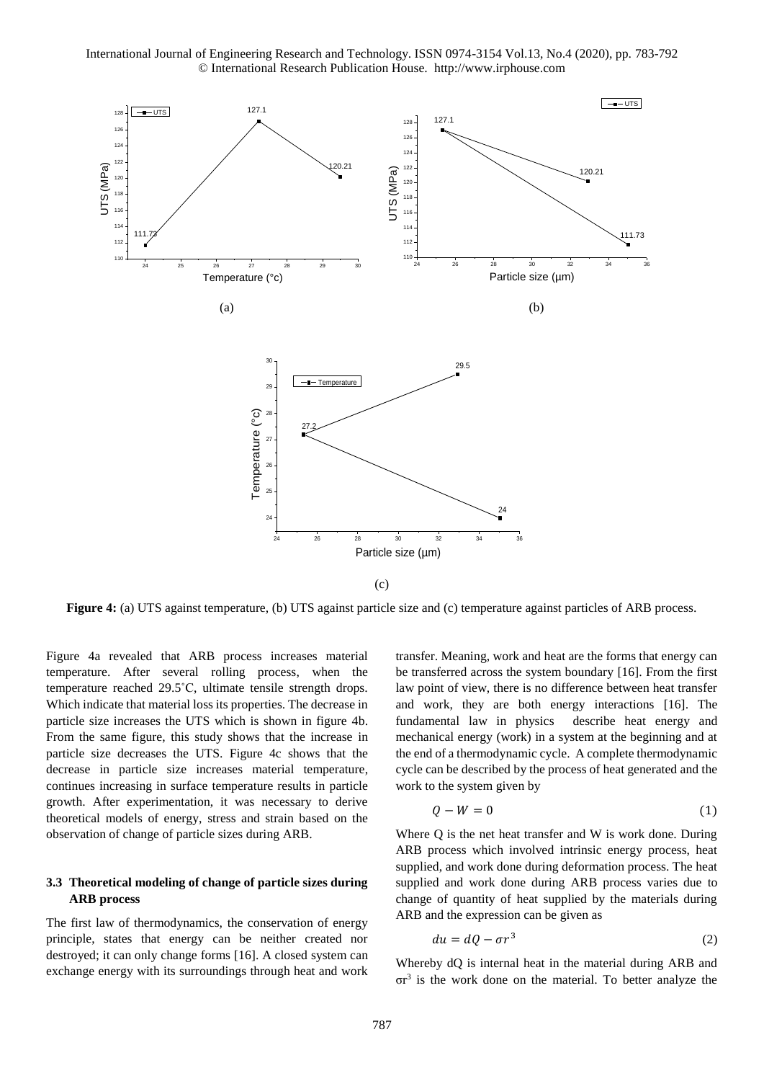

**Figure 4:** (a) UTS against temperature, (b) UTS against particle size and (c) temperature against particles of ARB process.

Figure 4a revealed that ARB process increases material temperature. After several rolling process, when the temperature reached 29.5˚C, ultimate tensile strength drops. Which indicate that material loss its properties. The decrease in particle size increases the UTS which is shown in figure 4b. From the same figure, this study shows that the increase in particle size decreases the UTS. Figure 4c shows that the decrease in particle size increases material temperature, continues increasing in surface temperature results in particle growth. After experimentation, it was necessary to derive theoretical models of energy, stress and strain based on the observation of change of particle sizes during ARB.

## **3.3 Theoretical modeling of change of particle sizes during ARB process**

The first law of thermodynamics, the conservation of energy principle, states that energy can be neither created nor destroyed; it can only change forms [16]. A closed system can exchange energy with its surroundings through heat and work transfer. Meaning, work and heat are the forms that energy can be transferred across the system boundary [16]. From the first law point of view, there is no difference between heat transfer and work, they are both energy interactions [16]. The fundamental law in physics describe heat energy and mechanical energy (work) in a system at the beginning and at the end of a thermodynamic cycle. A complete thermodynamic cycle can be described by the process of heat generated and the work to the system given by

$$
Q - W = 0 \tag{1}
$$

Where Q is the net heat transfer and W is work done. During ARB process which involved intrinsic energy process, heat supplied, and work done during deformation process. The heat supplied and work done during ARB process varies due to change of quantity of heat supplied by the materials during ARB and the expression can be given as

$$
du = dQ - \sigma r^3 \tag{2}
$$

Whereby dQ is internal heat in the material during ARB and σr<sup>3</sup> is the work done on the material. To better analyze the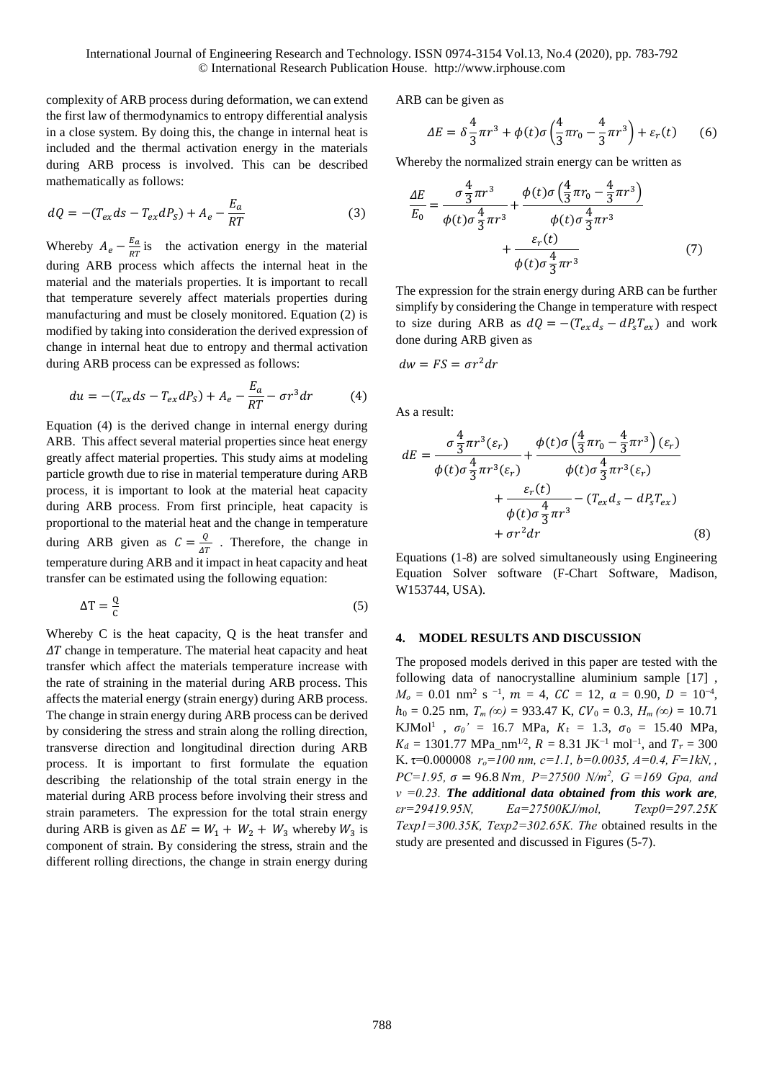complexity of ARB process during deformation, we can extend the first law of thermodynamics to entropy differential analysis in a close system. By doing this, the change in internal heat is included and the thermal activation energy in the materials during ARB process is involved. This can be described mathematically as follows:

$$
dQ = -(T_{ex}ds - T_{ex}dP_s) + A_e - \frac{E_a}{RT}
$$
\n(3)

Whereby  $A_e - \frac{E_a}{RT}$  $\frac{E_a}{RT}$  is the activation energy in the material during ARB process which affects the internal heat in the material and the materials properties. It is important to recall that temperature severely affect materials properties during manufacturing and must be closely monitored. Equation (2) is modified by taking into consideration the derived expression of change in internal heat due to entropy and thermal activation during ARB process can be expressed as follows:

$$
du = -(T_{ex}ds - T_{ex}dP_S) + A_e - \frac{E_a}{RT} - \sigma r^3 dr \tag{4}
$$

Equation (4) is the derived change in internal energy during ARB. This affect several material properties since heat energy greatly affect material properties. This study aims at modeling particle growth due to rise in material temperature during ARB process, it is important to look at the material heat capacity during ARB process. From first principle, heat capacity is proportional to the material heat and the change in temperature during ARB given as  $C = \frac{Q}{4a}$  $\frac{Q}{\Delta T}$ . Therefore, the change in temperature during ARB and it impact in heat capacity and heat transfer can be estimated using the following equation:

$$
\Delta T = \frac{Q}{c} \tag{5}
$$

Whereby C is the heat capacity, Q is the heat transfer and  $\Delta T$  change in temperature. The material heat capacity and heat transfer which affect the materials temperature increase with the rate of straining in the material during ARB process. This affects the material energy (strain energy) during ARB process. The change in strain energy during ARB process can be derived by considering the stress and strain along the rolling direction, transverse direction and longitudinal direction during ARB process. It is important to first formulate the equation describing the relationship of the total strain energy in the material during ARB process before involving their stress and strain parameters. The expression for the total strain energy during ARB is given as  $\Delta E = W_1 + W_2 + W_3$  whereby  $W_3$  is component of strain. By considering the stress, strain and the different rolling directions, the change in strain energy during

ARB can be given as

$$
\Delta E = \delta \frac{4}{3} \pi r^3 + \phi(t) \sigma \left(\frac{4}{3} \pi r_0 - \frac{4}{3} \pi r^3\right) + \varepsilon_r(t) \tag{6}
$$

Whereby the normalized strain energy can be written as

$$
\frac{\Delta E}{E_0} = \frac{\sigma \frac{4}{3} \pi r^3}{\phi(t) \sigma \frac{4}{3} \pi r^3} + \frac{\phi(t) \sigma \left(\frac{4}{3} \pi r_0 - \frac{4}{3} \pi r^3\right)}{\phi(t) \sigma \frac{4}{3} \pi r^3} + \frac{\varepsilon_r(t)}{\phi(t) \sigma \frac{4}{3} \pi r^3}
$$
(7)

The expression for the strain energy during ARB can be further simplify by considering the Change in temperature with respect to size during ARB as  $dQ = -(T_{ex}d_s - dP_sT_{ex})$  and work done during ARB given as

$$
dw = FS = \sigma r^2 dr
$$

As a result:

$$
dE = \frac{\sigma \frac{4}{3} \pi r^3 (\varepsilon_r)}{\phi(t) \sigma \frac{4}{3} \pi r^3 (\varepsilon_r)} + \frac{\phi(t) \sigma \left(\frac{4}{3} \pi r_0 - \frac{4}{3} \pi r^3\right) (\varepsilon_r)}{\phi(t) \sigma \frac{4}{3} \pi r^3 (\varepsilon_r)} + \frac{\varepsilon_r(t)}{\phi(t) \sigma \frac{4}{3} \pi r^3} - (T_{ex} d_s - d P_s T_{ex}) + \sigma r^2 dr \tag{8}
$$

Equations (1-8) are solved simultaneously using Engineering Equation Solver software (F-Chart Software, Madison, W153744, USA).

#### **4. MODEL RESULTS AND DISCUSSION**

The proposed models derived in this paper are tested with the following data of nanocrystalline aluminium sample [17] ,  $M_o = 0.01$  nm<sup>2</sup> s <sup>-1</sup>,  $m = 4$ ,  $CC = 12$ ,  $a = 0.90$ ,  $D = 10^{-4}$ ,  $h_0 = 0.25$  nm,  $T_m (\infty) = 933.47$  K,  $CV_0 = 0.3$ ,  $H_m (\infty) = 10.71$ KJMol<sup>1</sup>,  $\sigma_0' = 16.7$  MPa,  $K_t = 1.3$ ,  $\sigma_0 = 15.40$  MPa,  $K_d = 1301.77$  MPa\_nm<sup>1/2</sup>,  $R = 8.31$  JK<sup>-1</sup> mol<sup>-1</sup>, and  $T_r = 300$ K.  $\tau$ =0.000008  $r_o$ =100 nm, c=1.1, b=0.0035, A=0.4, F=1kN, *PC*=1.95,  $\sigma$  = 96.8 *Nm*, *P*=27500 *N*/*m*<sup>2</sup>, *G* =169 *Gpa, and*  $v = 0.23$ *. The additional data obtained from this work are, εr=29419.95N, Ea=27500KJ/mol, Texp0=297.25K Texp1=300.35K, Texp2=302.65K. The* obtained results in the study are presented and discussed in Figures (5-7).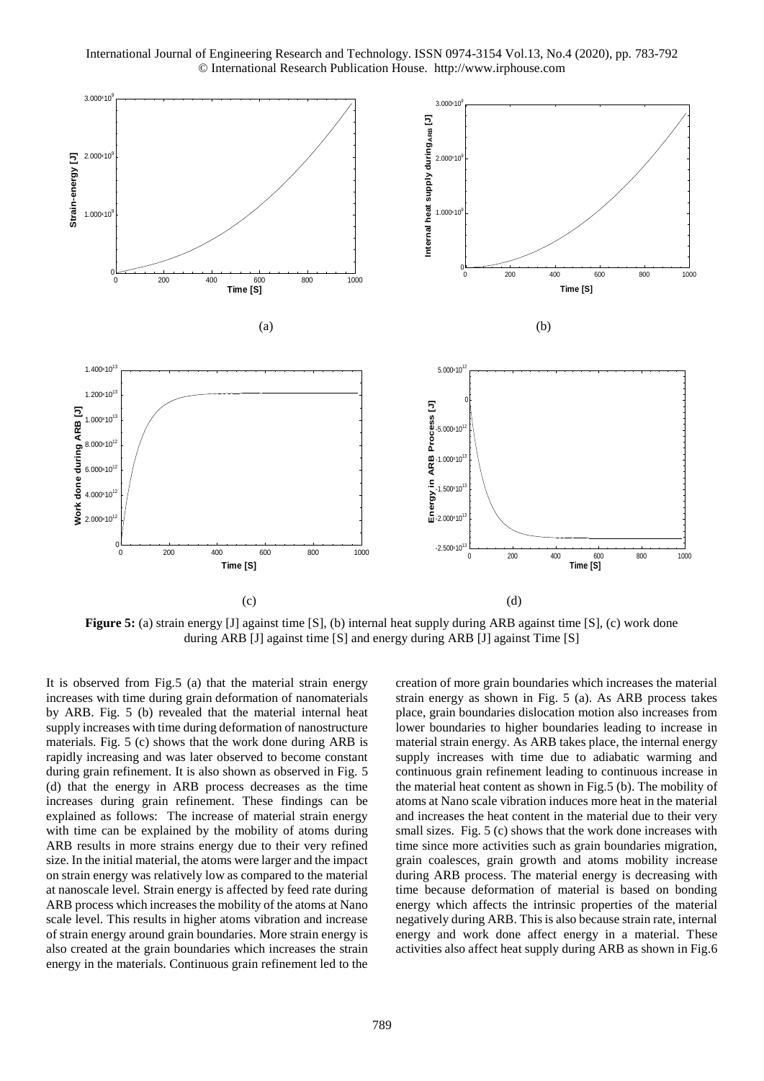

**Figure 5:** (a) strain energy [J] against time [S], (b) internal heat supply during ARB against time [S], (c) work done during ARB [J] against time [S] and energy during ARB [J] against Time [S]

It is observed from Fig.5 (a) that the material strain energy increases with time during grain deformation of nanomaterials by ARB. Fig. 5 (b) revealed that the material internal heat supply increases with time during deformation of nanostructure materials. Fig. 5 (c) shows that the work done during ARB is rapidly increasing and was later observed to become constant during grain refinement. It is also shown as observed in Fig. 5 (d) that the energy in ARB process decreases as the time increases during grain refinement. These findings can be explained as follows: The increase of material strain energy with time can be explained by the mobility of atoms during ARB results in more strains energy due to their very refined size. In the initial material, the atoms were larger and the impact on strain energy was relatively low as compared to the material at nanoscale level. Strain energy is affected by feed rate during ARB process which increases the mobility of the atoms at Nano scale level. This results in higher atoms vibration and increase of strain energy around grain boundaries. More strain energy is also created at the grain boundaries which increases the strain energy in the materials. Continuous grain refinement led to the

creation of more grain boundaries which increases the material strain energy as shown in Fig. 5 (a). As ARB process takes place, grain boundaries dislocation motion also increases from lower boundaries to higher boundaries leading to increase in material strain energy. As ARB takes place, the internal energy supply increases with time due to adiabatic warming and continuous grain refinement leading to continuous increase in the material heat content as shown in Fig.5 (b). The mobility of atoms at Nano scale vibration induces more heat in the material and increases the heat content in the material due to their very small sizes. Fig. 5 (c) shows that the work done increases with time since more activities such as grain boundaries migration, grain coalesces, grain growth and atoms mobility increase during ARB process. The material energy is decreasing with time because deformation of material is based on bonding energy which affects the intrinsic properties of the material negatively during ARB. This is also because strain rate, internal energy and work done affect energy in a material. These activities also affect heat supply during ARB as shown in Fig.6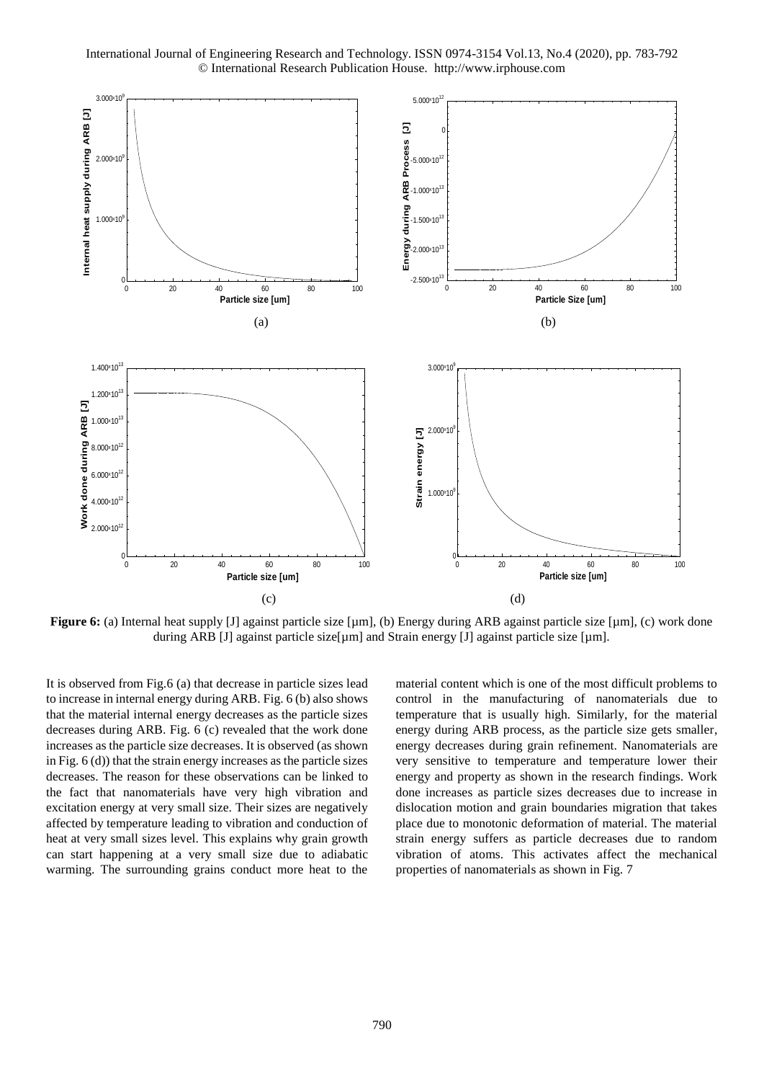

**Figure 6:** (a) Internal heat supply [J] against particle size [µm], (b) Energy during ARB against particle size [µm], (c) work done during ARB [J] against particle size[µm] and Strain energy [J] against particle size [µm].

It is observed from Fig.6 (a) that decrease in particle sizes lead to increase in internal energy during ARB. Fig. 6 (b) also shows that the material internal energy decreases as the particle sizes decreases during ARB. Fig. 6 (c) revealed that the work done increases as the particle size decreases. It is observed (as shown in Fig. 6 (d)) that the strain energy increases as the particle sizes decreases. The reason for these observations can be linked to the fact that nanomaterials have very high vibration and excitation energy at very small size. Their sizes are negatively affected by temperature leading to vibration and conduction of heat at very small sizes level. This explains why grain growth can start happening at a very small size due to adiabatic warming. The surrounding grains conduct more heat to the material content which is one of the most difficult problems to control in the manufacturing of nanomaterials due to temperature that is usually high. Similarly, for the material energy during ARB process, as the particle size gets smaller, energy decreases during grain refinement. Nanomaterials are very sensitive to temperature and temperature lower their energy and property as shown in the research findings. Work done increases as particle sizes decreases due to increase in dislocation motion and grain boundaries migration that takes place due to monotonic deformation of material. The material strain energy suffers as particle decreases due to random vibration of atoms. This activates affect the mechanical properties of nanomaterials as shown in Fig. 7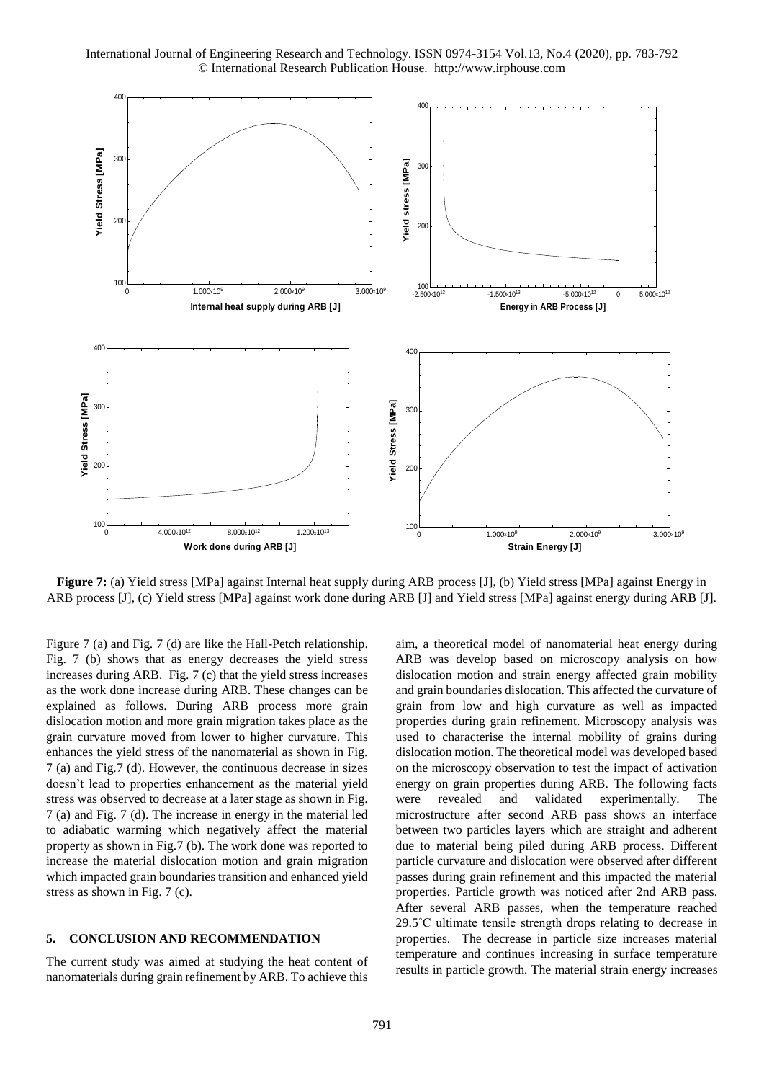

**Figure 7:** (a) Yield stress [MPa] against Internal heat supply during ARB process [J], (b) Yield stress [MPa] against Energy in ARB process [J], (c) Yield stress [MPa] against work done during ARB [J] and Yield stress [MPa] against energy during ARB [J].

Figure 7 (a) and Fig. 7 (d) are like the Hall-Petch relationship. Fig. 7 (b) shows that as energy decreases the yield stress increases during ARB. Fig. 7 (c) that the yield stress increases as the work done increase during ARB. These changes can be explained as follows. During ARB process more grain dislocation motion and more grain migration takes place as the grain curvature moved from lower to higher curvature. This enhances the yield stress of the nanomaterial as shown in Fig. 7 (a) and Fig.7 (d). However, the continuous decrease in sizes doesn't lead to properties enhancement as the material yield stress was observed to decrease at a later stage as shown in Fig. 7 (a) and Fig. 7 (d). The increase in energy in the material led to adiabatic warming which negatively affect the material property as shown in Fig.7 (b). The work done was reported to increase the material dislocation motion and grain migration which impacted grain boundaries transition and enhanced yield stress as shown in Fig. 7 (c).

#### **5. CONCLUSION AND RECOMMENDATION**

The current study was aimed at studying the heat content of nanomaterials during grain refinement by ARB. To achieve this

aim, a theoretical model of nanomaterial heat energy during ARB was develop based on microscopy analysis on how dislocation motion and strain energy affected grain mobility and grain boundaries dislocation. This affected the curvature of grain from low and high curvature as well as impacted properties during grain refinement. Microscopy analysis was used to characterise the internal mobility of grains during dislocation motion. The theoretical model was developed based on the microscopy observation to test the impact of activation energy on grain properties during ARB. The following facts were revealed and validated experimentally. The microstructure after second ARB pass shows an interface between two particles layers which are straight and adherent due to material being piled during ARB process. Different particle curvature and dislocation were observed after different passes during grain refinement and this impacted the material properties. Particle growth was noticed after 2nd ARB pass. After several ARB passes, when the temperature reached 29.5˚C ultimate tensile strength drops relating to decrease in properties. The decrease in particle size increases material temperature and continues increasing in surface temperature results in particle growth. The material strain energy increases